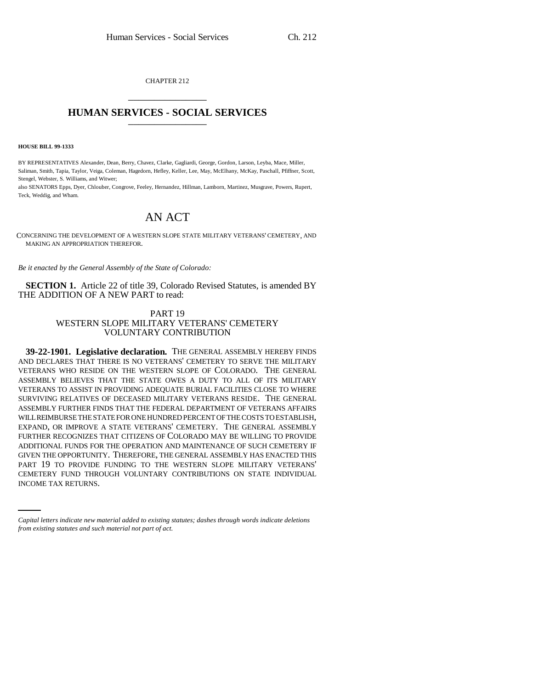CHAPTER 212 \_\_\_\_\_\_\_\_\_\_\_\_\_\_\_

## **HUMAN SERVICES - SOCIAL SERVICES** \_\_\_\_\_\_\_\_\_\_\_\_\_\_\_

**HOUSE BILL 99-1333**

BY REPRESENTATIVES Alexander, Dean, Berry, Chavez, Clarke, Gagliardi, George, Gordon, Larson, Leyba, Mace, Miller, Saliman, Smith, Tapia, Taylor, Veiga, Coleman, Hagedorn, Hefley, Keller, Lee, May, McElhany, McKay, Paschall, Pfiffner, Scott, Stengel, Webster, S. Williams, and Witwer;

also SENATORS Epps, Dyer, Chlouber, Congrove, Feeley, Hernandez, Hillman, Lamborn, Martinez, Musgrave, Powers, Rupert, Teck, Weddig, and Wham.

## AN ACT

CONCERNING THE DEVELOPMENT OF A WESTERN SLOPE STATE MILITARY VETERANS' CEMETERY, AND MAKING AN APPROPRIATION THEREFOR.

*Be it enacted by the General Assembly of the State of Colorado:*

**SECTION 1.** Article 22 of title 39, Colorado Revised Statutes, is amended BY THE ADDITION OF A NEW PART to read:

## PART 19 WESTERN SLOPE MILITARY VETERANS' CEMETERY VOLUNTARY CONTRIBUTION

PART 19 TO PROVIDE FUNDING TO THE WESTERN SLOPE MILITARY VETERANS' **39-22-1901. Legislative declaration.** THE GENERAL ASSEMBLY HEREBY FINDS AND DECLARES THAT THERE IS NO VETERANS' CEMETERY TO SERVE THE MILITARY VETERANS WHO RESIDE ON THE WESTERN SLOPE OF COLORADO. THE GENERAL ASSEMBLY BELIEVES THAT THE STATE OWES A DUTY TO ALL OF ITS MILITARY VETERANS TO ASSIST IN PROVIDING ADEQUATE BURIAL FACILITIES CLOSE TO WHERE SURVIVING RELATIVES OF DECEASED MILITARY VETERANS RESIDE. THE GENERAL ASSEMBLY FURTHER FINDS THAT THE FEDERAL DEPARTMENT OF VETERANS AFFAIRS WILL REIMBURSE THE STATE FOR ONE HUNDRED PERCENT OF THE COSTS TO ESTABLISH, EXPAND, OR IMPROVE A STATE VETERANS' CEMETERY. THE GENERAL ASSEMBLY FURTHER RECOGNIZES THAT CITIZENS OF COLORADO MAY BE WILLING TO PROVIDE ADDITIONAL FUNDS FOR THE OPERATION AND MAINTENANCE OF SUCH CEMETERY IF GIVEN THE OPPORTUNITY. THEREFORE, THE GENERAL ASSEMBLY HAS ENACTED THIS CEMETERY FUND THROUGH VOLUNTARY CONTRIBUTIONS ON STATE INDIVIDUAL INCOME TAX RETURNS.

*Capital letters indicate new material added to existing statutes; dashes through words indicate deletions from existing statutes and such material not part of act.*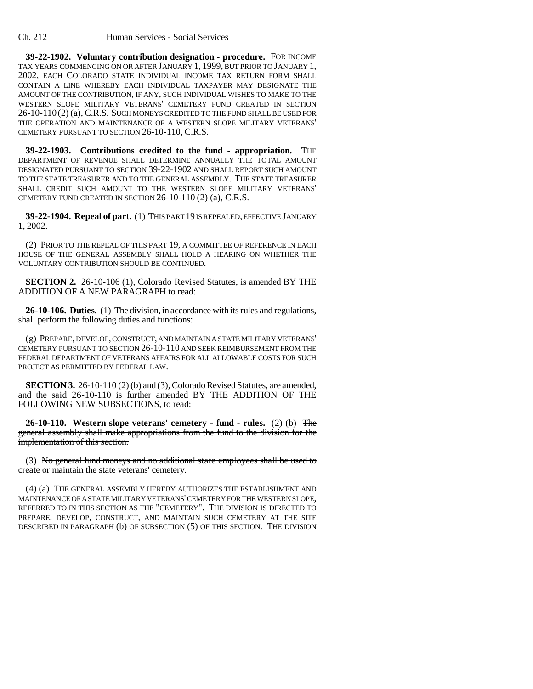**39-22-1902. Voluntary contribution designation - procedure.** FOR INCOME TAX YEARS COMMENCING ON OR AFTER JANUARY 1, 1999, BUT PRIOR TO JANUARY 1, 2002, EACH COLORADO STATE INDIVIDUAL INCOME TAX RETURN FORM SHALL CONTAIN A LINE WHEREBY EACH INDIVIDUAL TAXPAYER MAY DESIGNATE THE AMOUNT OF THE CONTRIBUTION, IF ANY, SUCH INDIVIDUAL WISHES TO MAKE TO THE WESTERN SLOPE MILITARY VETERANS' CEMETERY FUND CREATED IN SECTION 26-10-110 (2) (a), C.R.S. SUCH MONEYS CREDITED TO THE FUND SHALL BE USED FOR THE OPERATION AND MAINTENANCE OF A WESTERN SLOPE MILITARY VETERANS' CEMETERY PURSUANT TO SECTION 26-10-110, C.R.S.

**39-22-1903. Contributions credited to the fund - appropriation.** THE DEPARTMENT OF REVENUE SHALL DETERMINE ANNUALLY THE TOTAL AMOUNT DESIGNATED PURSUANT TO SECTION 39-22-1902 AND SHALL REPORT SUCH AMOUNT TO THE STATE TREASURER AND TO THE GENERAL ASSEMBLY. THE STATE TREASURER SHALL CREDIT SUCH AMOUNT TO THE WESTERN SLOPE MILITARY VETERANS' CEMETERY FUND CREATED IN SECTION 26-10-110 (2) (a), C.R.S.

**39-22-1904. Repeal of part.** (1) THIS PART 19 IS REPEALED, EFFECTIVE JANUARY 1, 2002.

(2) PRIOR TO THE REPEAL OF THIS PART 19, A COMMITTEE OF REFERENCE IN EACH HOUSE OF THE GENERAL ASSEMBLY SHALL HOLD A HEARING ON WHETHER THE VOLUNTARY CONTRIBUTION SHOULD BE CONTINUED.

**SECTION 2.** 26-10-106 (1), Colorado Revised Statutes, is amended BY THE ADDITION OF A NEW PARAGRAPH to read:

**26-10-106. Duties.** (1) The division, in accordance with its rules and regulations, shall perform the following duties and functions:

(g) PREPARE, DEVELOP, CONSTRUCT, AND MAINTAIN A STATE MILITARY VETERANS' CEMETERY PURSUANT TO SECTION 26-10-110 AND SEEK REIMBURSEMENT FROM THE FEDERAL DEPARTMENT OF VETERANS AFFAIRS FOR ALL ALLOWABLE COSTS FOR SUCH PROJECT AS PERMITTED BY FEDERAL LAW.

**SECTION 3.** 26-10-110 (2) (b) and (3), Colorado Revised Statutes, are amended, and the said 26-10-110 is further amended BY THE ADDITION OF THE FOLLOWING NEW SUBSECTIONS, to read:

**26-10-110. Western slope veterans' cemetery - fund - rules.** (2) (b) The general assembly shall make appropriations from the fund to the division for the implementation of this section.

(3) No general fund moneys and no additional state employees shall be used to create or maintain the state veterans' cemetery.

(4) (a) THE GENERAL ASSEMBLY HEREBY AUTHORIZES THE ESTABLISHMENT AND MAINTENANCE OF A STATE MILITARY VETERANS' CEMETERY FOR THE WESTERN SLOPE, REFERRED TO IN THIS SECTION AS THE "CEMETERY". THE DIVISION IS DIRECTED TO PREPARE, DEVELOP, CONSTRUCT, AND MAINTAIN SUCH CEMETERY AT THE SITE DESCRIBED IN PARAGRAPH (b) OF SUBSECTION (5) OF THIS SECTION. THE DIVISION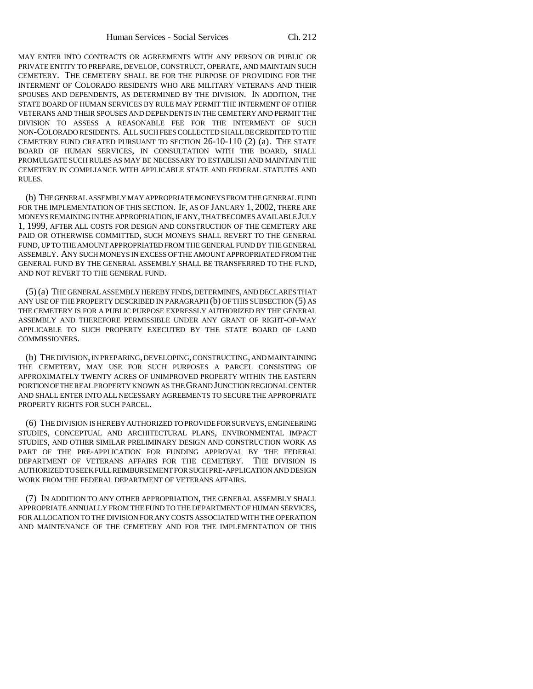MAY ENTER INTO CONTRACTS OR AGREEMENTS WITH ANY PERSON OR PUBLIC OR PRIVATE ENTITY TO PREPARE, DEVELOP, CONSTRUCT, OPERATE, AND MAINTAIN SUCH CEMETERY. THE CEMETERY SHALL BE FOR THE PURPOSE OF PROVIDING FOR THE INTERMENT OF COLORADO RESIDENTS WHO ARE MILITARY VETERANS AND THEIR SPOUSES AND DEPENDENTS, AS DETERMINED BY THE DIVISION. IN ADDITION, THE STATE BOARD OF HUMAN SERVICES BY RULE MAY PERMIT THE INTERMENT OF OTHER VETERANS AND THEIR SPOUSES AND DEPENDENTS IN THE CEMETERY AND PERMIT THE DIVISION TO ASSESS A REASONABLE FEE FOR THE INTERMENT OF SUCH NON-COLORADO RESIDENTS. ALL SUCH FEES COLLECTED SHALL BE CREDITED TO THE CEMETERY FUND CREATED PURSUANT TO SECTION 26-10-110 (2) (a). THE STATE BOARD OF HUMAN SERVICES, IN CONSULTATION WITH THE BOARD, SHALL PROMULGATE SUCH RULES AS MAY BE NECESSARY TO ESTABLISH AND MAINTAIN THE CEMETERY IN COMPLIANCE WITH APPLICABLE STATE AND FEDERAL STATUTES AND RULES.

(b) THE GENERAL ASSEMBLY MAY APPROPRIATE MONEYS FROM THE GENERAL FUND FOR THE IMPLEMENTATION OF THIS SECTION. IF, AS OF JANUARY 1, 2002, THERE ARE MONEYS REMAINING IN THE APPROPRIATION, IF ANY, THAT BECOMES AVAILABLE JULY 1, 1999, AFTER ALL COSTS FOR DESIGN AND CONSTRUCTION OF THE CEMETERY ARE PAID OR OTHERWISE COMMITTED, SUCH MONEYS SHALL REVERT TO THE GENERAL FUND, UP TO THE AMOUNT APPROPRIATED FROM THE GENERAL FUND BY THE GENERAL ASSEMBLY. ANY SUCH MONEYS IN EXCESS OF THE AMOUNT APPROPRIATED FROM THE GENERAL FUND BY THE GENERAL ASSEMBLY SHALL BE TRANSFERRED TO THE FUND, AND NOT REVERT TO THE GENERAL FUND.

(5) (a) THE GENERAL ASSEMBLY HEREBY FINDS, DETERMINES, AND DECLARES THAT ANY USE OF THE PROPERTY DESCRIBED IN PARAGRAPH (b) OF THIS SUBSECTION (5) AS THE CEMETERY IS FOR A PUBLIC PURPOSE EXPRESSLY AUTHORIZED BY THE GENERAL ASSEMBLY AND THEREFORE PERMISSIBLE UNDER ANY GRANT OF RIGHT-OF-WAY APPLICABLE TO SUCH PROPERTY EXECUTED BY THE STATE BOARD OF LAND COMMISSIONERS.

(b) THE DIVISION, IN PREPARING, DEVELOPING, CONSTRUCTING, AND MAINTAINING THE CEMETERY, MAY USE FOR SUCH PURPOSES A PARCEL CONSISTING OF APPROXIMATELY TWENTY ACRES OF UNIMPROVED PROPERTY WITHIN THE EASTERN PORTION OF THE REAL PROPERTY KNOWN AS THE GRAND JUNCTION REGIONAL CENTER AND SHALL ENTER INTO ALL NECESSARY AGREEMENTS TO SECURE THE APPROPRIATE PROPERTY RIGHTS FOR SUCH PARCEL.

(6) THE DIVISION IS HEREBY AUTHORIZED TO PROVIDE FOR SURVEYS, ENGINEERING STUDIES, CONCEPTUAL AND ARCHITECTURAL PLANS, ENVIRONMENTAL IMPACT STUDIES, AND OTHER SIMILAR PRELIMINARY DESIGN AND CONSTRUCTION WORK AS PART OF THE PRE-APPLICATION FOR FUNDING APPROVAL BY THE FEDERAL DEPARTMENT OF VETERANS AFFAIRS FOR THE CEMETERY. THE DIVISION IS AUTHORIZED TO SEEK FULL REIMBURSEMENT FOR SUCH PRE-APPLICATION AND DESIGN WORK FROM THE FEDERAL DEPARTMENT OF VETERANS AFFAIRS.

(7) IN ADDITION TO ANY OTHER APPROPRIATION, THE GENERAL ASSEMBLY SHALL APPROPRIATE ANNUALLY FROM THE FUND TO THE DEPARTMENT OF HUMAN SERVICES, FOR ALLOCATION TO THE DIVISION FOR ANY COSTS ASSOCIATED WITH THE OPERATION AND MAINTENANCE OF THE CEMETERY AND FOR THE IMPLEMENTATION OF THIS